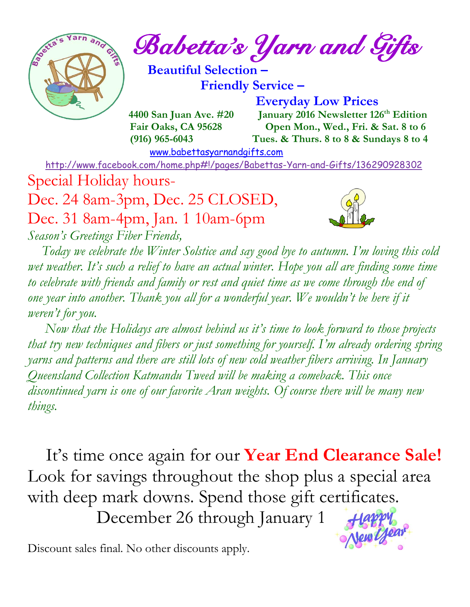

 $\int_{\mathcal{C}} e^{\frac{1}{2} \left( \mathbf{r} - \mathbf{r} \right) \mathbf{r}} \mathbf{r} \, d\mathbf{r} \, d\mathbf{r}}$  and Gifts

 **Beautiful Selection – Friendly Service –**

 **Everyday Low Prices**

 **4400 San Juan Ave. #20** January 2016 Newsletter 126<sup>th</sup> Edition  **Fair Oaks, CA 95628 Open Mon., Wed., Fri. & Sat. 8 to 6 (916) 965-6043 Tues. & Thurs. 8 to 8 & Sundays 8 to 4** 

[www.babettasyarnandgifts.com](http://www.babettasyarnandgifts.com/)

<http://www.facebook.com/home.php#!/pages/Babettas-Yarn-and-Gifts/136290928302>

Special Holiday hours-

Dec. 24 8am-3pm, Dec. 25 CLOSED, Dec. 31 8am-4pm, Jan. 1 10am-6pm *Season's Greetings Fiber Friends,*



 *Today we celebrate the Winter Solstice and say good bye to autumn. I'm loving this cold wet weather. It's such a relief to have an actual winter. Hope you all are finding some time to celebrate with friends and family or rest and quiet time as we come through the end of one year into another. Thank you all for a wonderful year. We wouldn't be here if it weren't for you.*

 *Now that the Holidays are almost behind us it's time to look forward to those projects that try new techniques and fibers or just something for yourself. I'm already ordering spring yarns and patterns and there are still lots of new cold weather fibers arriving. In January Queensland Collection Katmandu Tweed will be making a comeback. This once discontinued yarn is one of our favorite Aran weights. Of course there will be many new things.*

 It's time once again for our **Year End Clearance Sale!** Look for savings throughout the shop plus a special area with deep mark downs. Spend those gift certificates.

December 26 through January 1



Discount sales final. No other discounts apply.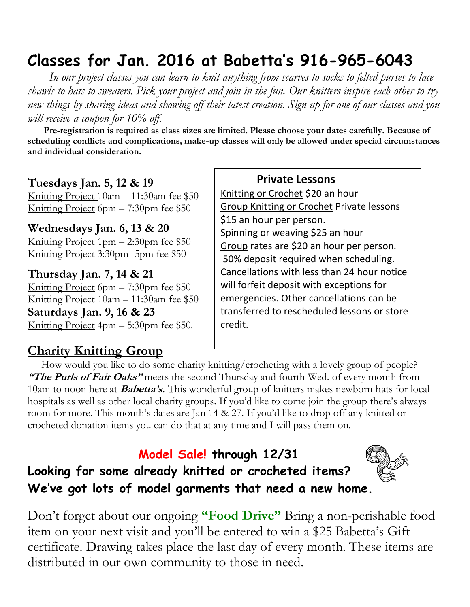## **Classes for Jan. 2016 at Babetta's 916-965-6043**

 *In our project classes you can learn to knit anything from scarves to socks to felted purses to lace shawls to hats to sweaters. Pick your project and join in the fun. Our knitters inspire each other to try new things by sharing ideas and showing off their latest creation. Sign up for one of our classes and you will receive a coupon for 10% off.*

 **Pre-registration is required as class sizes are limited. Please choose your dates carefully. Because of scheduling conflicts and complications, make-up classes will only be allowed under special circumstances and individual consideration.**

#### **Tuesdays Jan. 5, 12 & 19**

Knitting Project 10am – 11:30am fee \$50 Knitting Project 6pm – 7:30pm fee \$50

#### **Wednesdays Jan. 6, 13 & 20**

Knitting Project 1pm – 2:30pm fee \$50 Knitting Project 3:30pm- 5pm fee \$50

**Thursday Jan. 7, 14 & 21** Knitting Project 6pm – 7:30pm fee \$50 Knitting Project 10am – 11:30am fee \$50 **Saturdays Jan. 9, 16 & 23** Knitting Project 4pm – 5:30pm fee \$50.

### **Charity Knitting Group**

#### **Private Lessons**

Knitting or Crochet \$20 an hour Group Knitting or Crochet Private lessons \$15 an hour per person. Spinning or weaving \$25 an hour Group rates are \$20 an hour per person. 50% deposit required when scheduling. Cancellations with less than 24 hour notice will forfeit deposit with exceptions for emergencies. Other cancellations can be transferred to rescheduled lessons or store credit.

 How would you like to do some charity knitting/crocheting with a lovely group of people? **"The Purls of Fair Oaks"** meets the second Thursday and fourth Wed. of every month from 10am to noon here at **Babetta's.** This wonderful group of knitters makes newborn hats for local hospitals as well as other local charity groups. If you'd like to come join the group there's always room for more. This month's dates are Jan 14 & 27. If you'd like to drop off any knitted or crocheted donation items you can do that at any time and I will pass them on.

### **Model Sale! through 12/31**

**Looking for some already knitted or crocheted items? We've got lots of model garments that need a new home.**